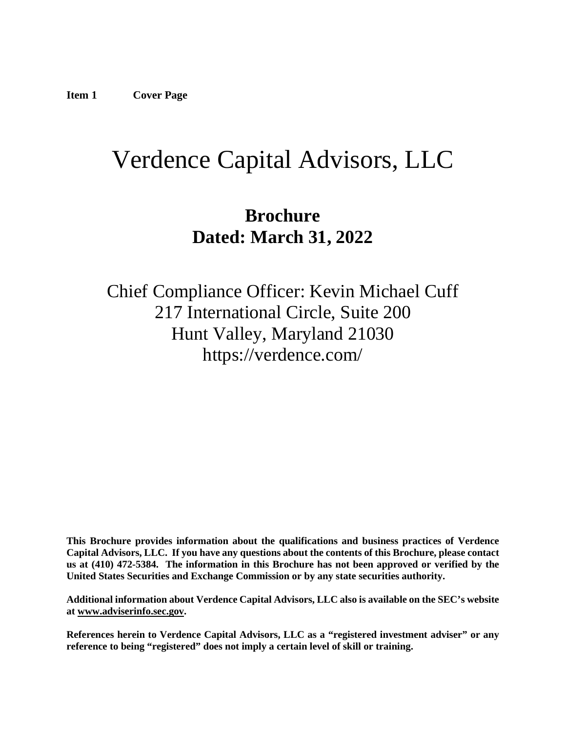# <span id="page-0-0"></span>Verdence Capital Advisors, LLC

## **Brochure Dated: March 31, 2022**

Chief Compliance Officer: Kevin Michael Cuff 217 International Circle, Suite 200 Hunt Valley, Maryland 21030 https://verdence.com/

**This Brochure provides information about the qualifications and business practices of Verdence Capital Advisors, LLC. If you have any questions about the contents of this Brochure, please contact us at (410) 472-5384. The information in this Brochure has not been approved or verified by the United States Securities and Exchange Commission or by any state securities authority.**

**Additional information about Verdence Capital Advisors, LLC also is available on the SEC's website at [www.adviserinfo.sec.gov.](http://www.adviserinfo.sec.gov/)**

**References herein to Verdence Capital Advisors, LLC as a "registered investment adviser" or any reference to being "registered" does not imply a certain level of skill or training.**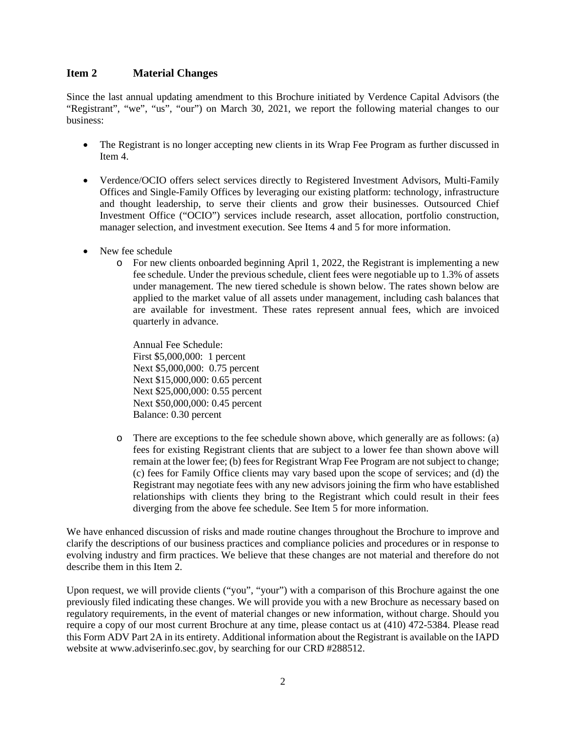#### <span id="page-1-0"></span>**Item 2 Material Changes**

Since the last annual updating amendment to this Brochure initiated by Verdence Capital Advisors (the "Registrant", "we", "us", "our") on March 30, 2021, we report the following material changes to our business:

- The Registrant is no longer accepting new clients in its Wrap Fee Program as further discussed in Item 4.
- Verdence/OCIO offers select services directly to Registered Investment Advisors, Multi-Family Offices and Single-Family Offices by leveraging our existing platform: technology, infrastructure and thought leadership, to serve their clients and grow their businesses. Outsourced Chief Investment Office ("OCIO") services include research, asset allocation, portfolio construction, manager selection, and investment execution. See Items 4 and 5 for more information.
- New fee schedule
	- o For new clients onboarded beginning April 1, 2022, the Registrant is implementing a new fee schedule. Under the previous schedule, client fees were negotiable up to 1.3% of assets under management. The new tiered schedule is shown below. The rates shown below are applied to the market value of all assets under management, including cash balances that are available for investment. These rates represent annual fees, which are invoiced quarterly in advance.

Annual Fee Schedule: First \$5,000,000: 1 percent Next \$5,000,000: 0.75 percent Next \$15,000,000: 0.65 percent Next \$25,000,000: 0.55 percent Next \$50,000,000: 0.45 percent Balance: 0.30 percent

o There are exceptions to the fee schedule shown above, which generally are as follows: (a) fees for existing Registrant clients that are subject to a lower fee than shown above will remain at the lower fee; (b) fees for Registrant Wrap Fee Program are not subject to change; (c) fees for Family Office clients may vary based upon the scope of services; and (d) the Registrant may negotiate fees with any new advisors joining the firm who have established relationships with clients they bring to the Registrant which could result in their fees diverging from the above fee schedule. See Item 5 for more information.

We have enhanced discussion of risks and made routine changes throughout the Brochure to improve and clarify the descriptions of our business practices and compliance policies and procedures or in response to evolving industry and firm practices. We believe that these changes are not material and therefore do not describe them in this Item 2.

<span id="page-1-1"></span>Upon request, we will provide clients ("you", "your") with a comparison of this Brochure against the one previously filed indicating these changes. We will provide you with a new Brochure as necessary based on regulatory requirements, in the event of material changes or new information, without charge. Should you require a copy of our most current Brochure at any time, please contact us at (410) 472-5384. Please read this Form ADV Part 2A in its entirety. Additional information about the Registrant is available on the IAPD website at www.adviserinfo.sec.gov, by searching for our CRD #288512.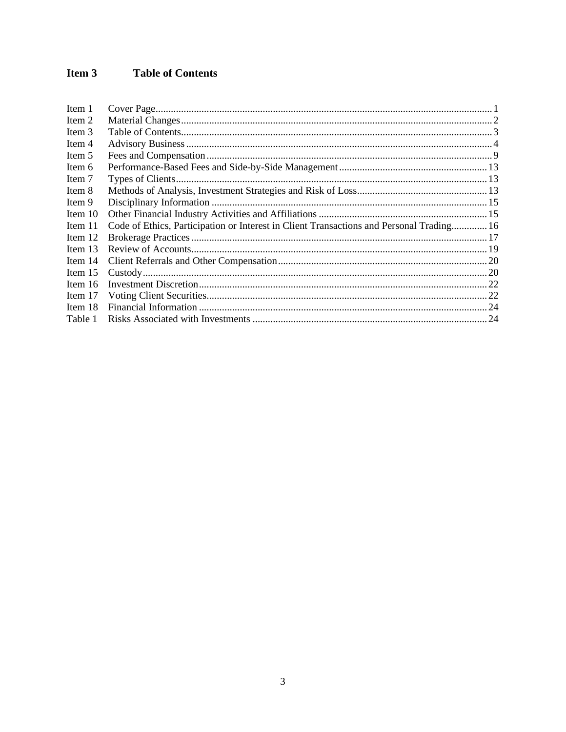#### Item 3 **Table of Contents**

<span id="page-2-0"></span>

| Item 1    |                                                                                          |  |
|-----------|------------------------------------------------------------------------------------------|--|
| Item 2    |                                                                                          |  |
| Item 3    |                                                                                          |  |
| Item 4    |                                                                                          |  |
| Item 5    |                                                                                          |  |
| Item 6    |                                                                                          |  |
| Item 7    |                                                                                          |  |
| Item 8    |                                                                                          |  |
| Item 9    |                                                                                          |  |
| Item 10   |                                                                                          |  |
| Item 11   | Code of Ethics, Participation or Interest in Client Transactions and Personal Trading 16 |  |
| Item 12   |                                                                                          |  |
| Item $13$ |                                                                                          |  |
| Item 14   |                                                                                          |  |
| Item $15$ |                                                                                          |  |
| Item 16   |                                                                                          |  |
| Item 17   |                                                                                          |  |
| Item 18   |                                                                                          |  |
| Table 1   |                                                                                          |  |
|           |                                                                                          |  |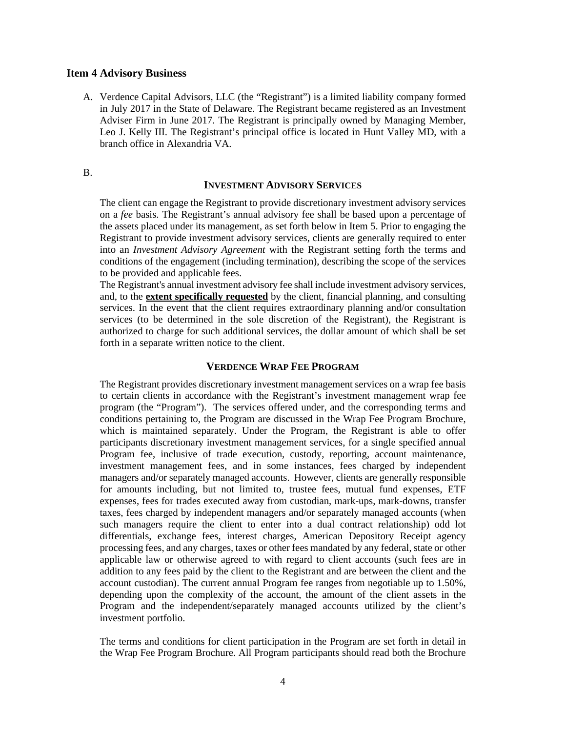#### **Item 4 Advisory Business**

A. Verdence Capital Advisors, LLC (the "Registrant") is a limited liability company formed in July 2017 in the State of Delaware. The Registrant became registered as an Investment Adviser Firm in June 2017. The Registrant is principally owned by Managing Member, Leo J. Kelly III. The Registrant's principal office is located in Hunt Valley MD, with a branch office in Alexandria VA.

#### B.

#### **INVESTMENT ADVISORY SERVICES**

The client can engage the Registrant to provide discretionary investment advisory services on a *fee* basis. The Registrant's annual advisory fee shall be based upon a percentage of the assets placed under its management, as set forth below in Item 5. Prior to engaging the Registrant to provide investment advisory services, clients are generally required to enter into an *Investment Advisory Agreement* with the Registrant setting forth the terms and conditions of the engagement (including termination), describing the scope of the services to be provided and applicable fees.

The Registrant's annual investment advisory fee shall include investment advisory services, and, to the **extent specifically requested** by the client, financial planning, and consulting services. In the event that the client requires extraordinary planning and/or consultation services (to be determined in the sole discretion of the Registrant), the Registrant is authorized to charge for such additional services, the dollar amount of which shall be set forth in a separate written notice to the client.

#### **VERDENCE WRAP FEE PROGRAM**

The Registrant provides discretionary investment management services on a wrap fee basis to certain clients in accordance with the Registrant's investment management wrap fee program (the "Program"). The services offered under, and the corresponding terms and conditions pertaining to, the Program are discussed in the Wrap Fee Program Brochure, which is maintained separately. Under the Program, the Registrant is able to offer participants discretionary investment management services, for a single specified annual Program fee, inclusive of trade execution, custody, reporting, account maintenance, investment management fees, and in some instances, fees charged by independent managers and/or separately managed accounts. However, clients are generally responsible for amounts including, but not limited to, trustee fees, mutual fund expenses, ETF expenses, fees for trades executed away from custodian, mark-ups, mark-downs, transfer taxes, fees charged by independent managers and/or separately managed accounts (when such managers require the client to enter into a dual contract relationship) odd lot differentials, exchange fees, interest charges, American Depository Receipt agency processing fees, and any charges, taxes or other fees mandated by any federal, state or other applicable law or otherwise agreed to with regard to client accounts (such fees are in addition to any fees paid by the client to the Registrant and are between the client and the account custodian). The current annual Program fee ranges from negotiable up to 1.50%, depending upon the complexity of the account, the amount of the client assets in the Program and the independent/separately managed accounts utilized by the client's investment portfolio.

The terms and conditions for client participation in the Program are set forth in detail in the Wrap Fee Program Brochure. All Program participants should read both the Brochure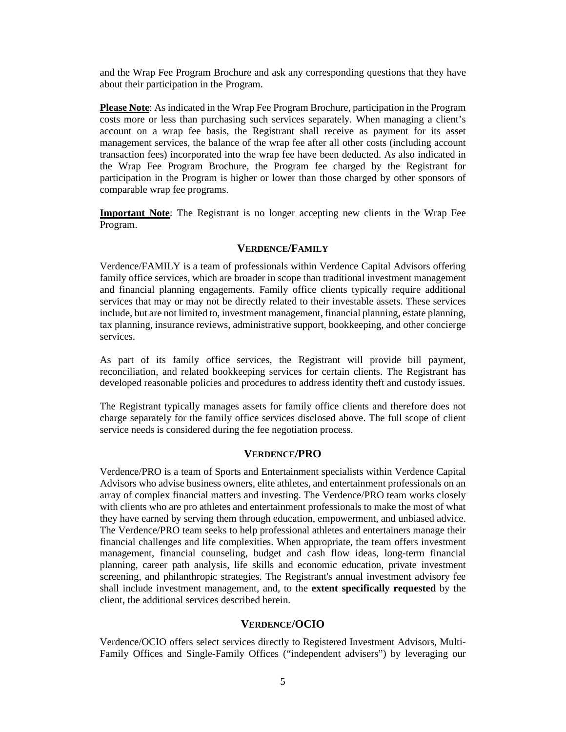and the Wrap Fee Program Brochure and ask any corresponding questions that they have about their participation in the Program.

**Please Note**: As indicated in the Wrap Fee Program Brochure, participation in the Program costs more or less than purchasing such services separately. When managing a client's account on a wrap fee basis, the Registrant shall receive as payment for its asset management services, the balance of the wrap fee after all other costs (including account transaction fees) incorporated into the wrap fee have been deducted. As also indicated in the Wrap Fee Program Brochure, the Program fee charged by the Registrant for participation in the Program is higher or lower than those charged by other sponsors of comparable wrap fee programs.

**Important Note**: The Registrant is no longer accepting new clients in the Wrap Fee Program.

#### **VERDENCE/FAMILY**

Verdence/FAMILY is a team of professionals within Verdence Capital Advisors offering family office services, which are broader in scope than traditional investment management and financial planning engagements. Family office clients typically require additional services that may or may not be directly related to their investable assets. These services include, but are not limited to, investment management, financial planning, estate planning, tax planning, insurance reviews, administrative support, bookkeeping, and other concierge services.

As part of its family office services, the Registrant will provide bill payment, reconciliation, and related bookkeeping services for certain clients. The Registrant has developed reasonable policies and procedures to address identity theft and custody issues.

The Registrant typically manages assets for family office clients and therefore does not charge separately for the family office services disclosed above. The full scope of client service needs is considered during the fee negotiation process.

#### **VERDENCE/PRO**

Verdence/PRO is a team of Sports and Entertainment specialists within Verdence Capital Advisors who advise business owners, elite athletes, and entertainment professionals on an array of complex financial matters and investing. The Verdence/PRO team works closely with clients who are pro athletes and entertainment professionals to make the most of what they have earned by serving them through education, empowerment, and unbiased advice. The Verdence/PRO team seeks to help professional athletes and entertainers manage their financial challenges and life complexities. When appropriate, the team offers investment management, financial counseling, budget and cash flow ideas, long-term financial planning, career path analysis, life skills and economic education, private investment screening, and philanthropic strategies. The Registrant's annual investment advisory fee shall include investment management, and, to the **extent specifically requested** by the client, the additional services described herein.

#### **VERDENCE/OCIO**

Verdence/OCIO offers select services directly to Registered Investment Advisors, Multi-Family Offices and Single-Family Offices ("independent advisers") by leveraging our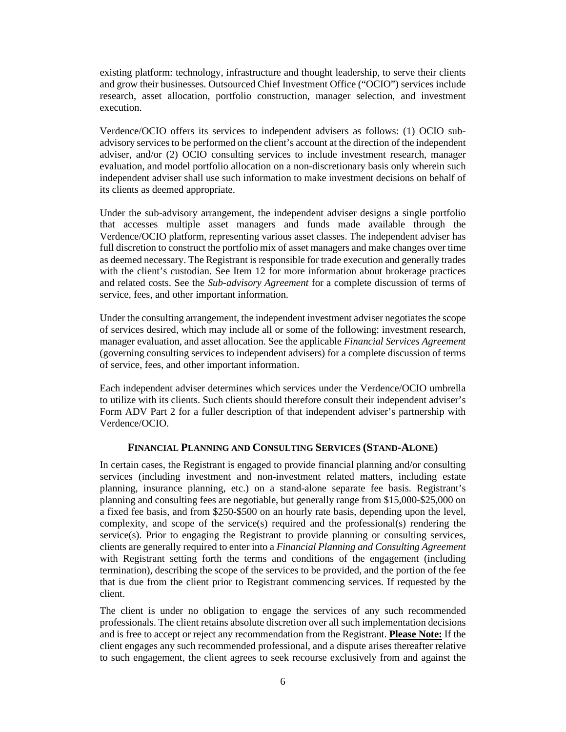existing platform: technology, infrastructure and thought leadership, to serve their clients and grow their businesses. Outsourced Chief Investment Office ("OCIO") services include research, asset allocation, portfolio construction, manager selection, and investment execution.

Verdence/OCIO offers its services to independent advisers as follows: (1) OCIO subadvisory services to be performed on the client's account at the direction of the independent adviser, and/or (2) OCIO consulting services to include investment research, manager evaluation, and model portfolio allocation on a non-discretionary basis only wherein such independent adviser shall use such information to make investment decisions on behalf of its clients as deemed appropriate.

Under the sub-advisory arrangement, the independent adviser designs a single portfolio that accesses multiple asset managers and funds made available through the Verdence/OCIO platform, representing various asset classes. The independent adviser has full discretion to construct the portfolio mix of asset managers and make changes over time as deemed necessary. The Registrant is responsible for trade execution and generally trades with the client's custodian. See Item 12 for more information about brokerage practices and related costs. See the *Sub-advisory Agreement* for a complete discussion of terms of service, fees, and other important information.

Under the consulting arrangement, the independent investment adviser negotiatesthe scope of services desired, which may include all or some of the following: investment research, manager evaluation, and asset allocation. See the applicable *Financial Services Agreement*  (governing consulting services to independent advisers) for a complete discussion of terms of service, fees, and other important information.

Each independent adviser determines which services under the Verdence/OCIO umbrella to utilize with its clients. Such clients should therefore consult their independent adviser's Form ADV Part 2 for a fuller description of that independent adviser's partnership with Verdence/OCIO.

#### **FINANCIAL PLANNING AND CONSULTING SERVICES (STAND-ALONE)**

In certain cases, the Registrant is engaged to provide financial planning and/or consulting services (including investment and non-investment related matters, including estate planning, insurance planning, etc.) on a stand-alone separate fee basis. Registrant's planning and consulting fees are negotiable, but generally range from \$15,000-\$25,000 on a fixed fee basis, and from \$250-\$500 on an hourly rate basis, depending upon the level, complexity, and scope of the service(s) required and the professional(s) rendering the service(s). Prior to engaging the Registrant to provide planning or consulting services, clients are generally required to enter into a *Financial Planning and Consulting Agreement* with Registrant setting forth the terms and conditions of the engagement (including termination), describing the scope of the services to be provided, and the portion of the fee that is due from the client prior to Registrant commencing services. If requested by the client.

The client is under no obligation to engage the services of any such recommended professionals. The client retains absolute discretion over all such implementation decisions and is free to accept or reject any recommendation from the Registrant. **Please Note:** If the client engages any such recommended professional, and a dispute arises thereafter relative to such engagement, the client agrees to seek recourse exclusively from and against the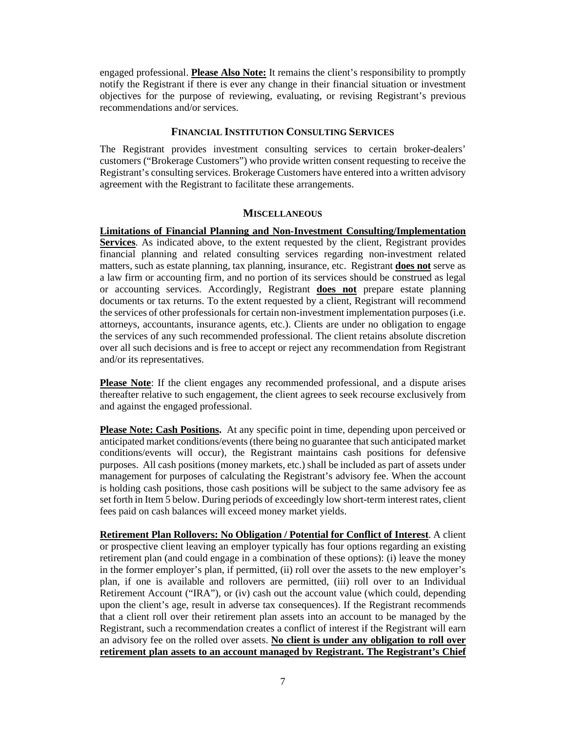engaged professional. **Please Also Note:** It remains the client's responsibility to promptly notify the Registrant if there is ever any change in their financial situation or investment objectives for the purpose of reviewing, evaluating, or revising Registrant's previous recommendations and/or services.

#### **FINANCIAL INSTITUTION CONSULTING SERVICES**

The Registrant provides investment consulting services to certain broker-dealers' customers ("Brokerage Customers") who provide written consent requesting to receive the Registrant's consulting services. Brokerage Customers have entered into a written advisory agreement with the Registrant to facilitate these arrangements.

#### **MISCELLANEOUS**

**Limitations of Financial Planning and Non-Investment Consulting/Implementation Services**. As indicated above, to the extent requested by the client, Registrant provides financial planning and related consulting services regarding non-investment related matters, such as estate planning, tax planning, insurance, etc. Registrant **does not** serve as a law firm or accounting firm, and no portion of its services should be construed as legal or accounting services. Accordingly, Registrant **does not** prepare estate planning documents or tax returns. To the extent requested by a client, Registrant will recommend the services of other professionals for certain non-investment implementation purposes (i.e. attorneys, accountants, insurance agents, etc.). Clients are under no obligation to engage the services of any such recommended professional. The client retains absolute discretion over all such decisions and is free to accept or reject any recommendation from Registrant and/or its representatives.

**Please Note**: If the client engages any recommended professional, and a dispute arises thereafter relative to such engagement, the client agrees to seek recourse exclusively from and against the engaged professional.

**Please Note: Cash Positions.** At any specific point in time, depending upon perceived or anticipated market conditions/events (there being no guarantee that such anticipated market conditions/events will occur), the Registrant maintains cash positions for defensive purposes. All cash positions (money markets, etc.) shall be included as part of assets under management for purposes of calculating the Registrant's advisory fee. When the account is holding cash positions, those cash positions will be subject to the same advisory fee as set forth in Item 5 below. During periods of exceedingly low short-term interest rates, client fees paid on cash balances will exceed money market yields.

**Retirement Plan Rollovers: No Obligation / Potential for Conflict of Interest**. A client or prospective client leaving an employer typically has four options regarding an existing retirement plan (and could engage in a combination of these options): (i) leave the money in the former employer's plan, if permitted, (ii) roll over the assets to the new employer's plan, if one is available and rollovers are permitted, (iii) roll over to an Individual Retirement Account ("IRA"), or (iv) cash out the account value (which could, depending upon the client's age, result in adverse tax consequences). If the Registrant recommends that a client roll over their retirement plan assets into an account to be managed by the Registrant, such a recommendation creates a conflict of interest if the Registrant will earn an advisory fee on the rolled over assets. **No client is under any obligation to roll over retirement plan assets to an account managed by Registrant. The Registrant's Chief**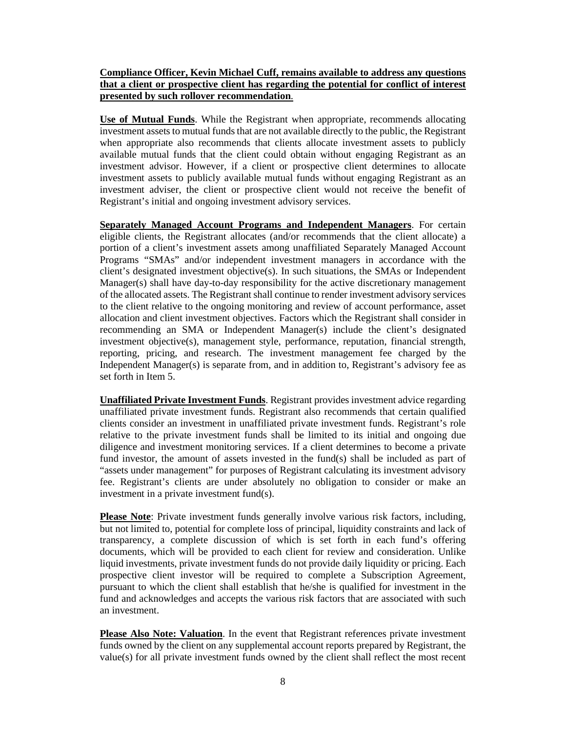#### **Compliance Officer, Kevin Michael Cuff, remains available to address any questions that a client or prospective client has regarding the potential for conflict of interest presented by such rollover recommendation**.

**Use of Mutual Funds**. While the Registrant when appropriate, recommends allocating investment assets to mutual funds that are not available directly to the public, the Registrant when appropriate also recommends that clients allocate investment assets to publicly available mutual funds that the client could obtain without engaging Registrant as an investment advisor. However, if a client or prospective client determines to allocate investment assets to publicly available mutual funds without engaging Registrant as an investment adviser, the client or prospective client would not receive the benefit of Registrant's initial and ongoing investment advisory services.

**Separately Managed Account Programs and Independent Managers**. For certain eligible clients, the Registrant allocates (and/or recommends that the client allocate) a portion of a client's investment assets among unaffiliated Separately Managed Account Programs "SMAs" and/or independent investment managers in accordance with the client's designated investment objective(s). In such situations, the SMAs or Independent Manager(s) shall have day-to-day responsibility for the active discretionary management of the allocated assets. The Registrant shall continue to render investment advisory services to the client relative to the ongoing monitoring and review of account performance, asset allocation and client investment objectives. Factors which the Registrant shall consider in recommending an SMA or Independent Manager(s) include the client's designated investment objective(s), management style, performance, reputation, financial strength, reporting, pricing, and research. The investment management fee charged by the Independent Manager(s) is separate from, and in addition to, Registrant's advisory fee as set forth in Item 5.

**Unaffiliated Private Investment Funds**. Registrant provides investment advice regarding unaffiliated private investment funds. Registrant also recommends that certain qualified clients consider an investment in unaffiliated private investment funds. Registrant's role relative to the private investment funds shall be limited to its initial and ongoing due diligence and investment monitoring services. If a client determines to become a private fund investor, the amount of assets invested in the fund(s) shall be included as part of "assets under management" for purposes of Registrant calculating its investment advisory fee. Registrant's clients are under absolutely no obligation to consider or make an investment in a private investment fund(s).

**Please Note**: Private investment funds generally involve various risk factors, including, but not limited to, potential for complete loss of principal, liquidity constraints and lack of transparency, a complete discussion of which is set forth in each fund's offering documents, which will be provided to each client for review and consideration. Unlike liquid investments, private investment funds do not provide daily liquidity or pricing. Each prospective client investor will be required to complete a Subscription Agreement, pursuant to which the client shall establish that he/she is qualified for investment in the fund and acknowledges and accepts the various risk factors that are associated with such an investment.

**Please Also Note: Valuation**. In the event that Registrant references private investment funds owned by the client on any supplemental account reports prepared by Registrant, the value(s) for all private investment funds owned by the client shall reflect the most recent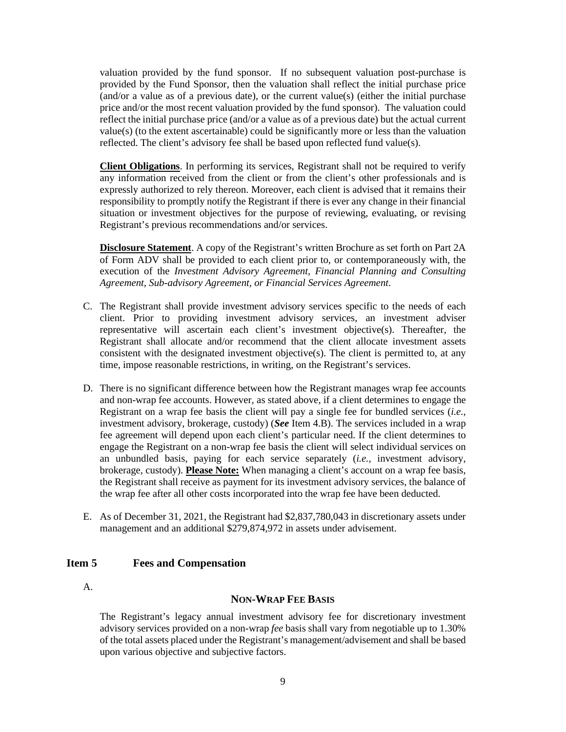valuation provided by the fund sponsor. If no subsequent valuation post-purchase is provided by the Fund Sponsor, then the valuation shall reflect the initial purchase price (and/or a value as of a previous date), or the current value(s) (either the initial purchase price and/or the most recent valuation provided by the fund sponsor). The valuation could reflect the initial purchase price (and/or a value as of a previous date) but the actual current value(s) (to the extent ascertainable) could be significantly more or less than the valuation reflected. The client's advisory fee shall be based upon reflected fund value(s).

**Client Obligations**. In performing its services, Registrant shall not be required to verify any information received from the client or from the client's other professionals and is expressly authorized to rely thereon. Moreover, each client is advised that it remains their responsibility to promptly notify the Registrant if there is ever any change in their financial situation or investment objectives for the purpose of reviewing, evaluating, or revising Registrant's previous recommendations and/or services.

**Disclosure Statement**. A copy of the Registrant's written Brochure as set forth on Part 2A of Form ADV shall be provided to each client prior to, or contemporaneously with, the execution of the *Investment Advisory Agreement, Financial Planning and Consulting Agreement, Sub-advisory Agreement, or Financial Services Agreement*.

- C. The Registrant shall provide investment advisory services specific to the needs of each client. Prior to providing investment advisory services, an investment adviser representative will ascertain each client's investment objective(s). Thereafter, the Registrant shall allocate and/or recommend that the client allocate investment assets consistent with the designated investment objective(s). The client is permitted to, at any time, impose reasonable restrictions, in writing, on the Registrant's services.
- D. There is no significant difference between how the Registrant manages wrap fee accounts and non-wrap fee accounts. However, as stated above, if a client determines to engage the Registrant on a wrap fee basis the client will pay a single fee for bundled services (*i.e.*, investment advisory, brokerage, custody) (*See* Item 4.B). The services included in a wrap fee agreement will depend upon each client's particular need. If the client determines to engage the Registrant on a non-wrap fee basis the client will select individual services on an unbundled basis, paying for each service separately (*i.e.,* investment advisory, brokerage, custody). **Please Note:** When managing a client's account on a wrap fee basis, the Registrant shall receive as payment for its investment advisory services, the balance of the wrap fee after all other costs incorporated into the wrap fee have been deducted.
- E. As of December 31, 2021, the Registrant had \$2,837,780,043 in discretionary assets under management and an additional \$279,874,972 in assets under advisement.

#### <span id="page-8-0"></span>**Item 5 Fees and Compensation**

A.

#### **NON-WRAP FEE BASIS**

The Registrant's legacy annual investment advisory fee for discretionary investment advisory services provided on a non-wrap *fee* basis shall vary from negotiable up to 1.30% of the total assets placed under the Registrant's management/advisement and shall be based upon various objective and subjective factors.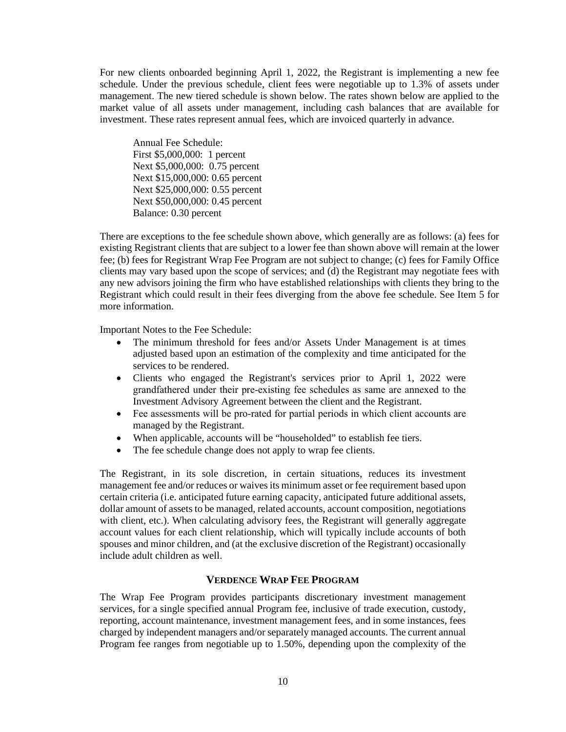For new clients onboarded beginning April 1, 2022, the Registrant is implementing a new fee schedule. Under the previous schedule, client fees were negotiable up to 1.3% of assets under management. The new tiered schedule is shown below. The rates shown below are applied to the market value of all assets under management, including cash balances that are available for investment. These rates represent annual fees, which are invoiced quarterly in advance.

Annual Fee Schedule: First \$5,000,000: 1 percent Next \$5,000,000: 0.75 percent Next \$15,000,000: 0.65 percent Next \$25,000,000: 0.55 percent Next \$50,000,000: 0.45 percent Balance: 0.30 percent

There are exceptions to the fee schedule shown above, which generally are as follows: (a) fees for existing Registrant clients that are subject to a lower fee than shown above will remain at the lower fee; (b) fees for Registrant Wrap Fee Program are not subject to change; (c) fees for Family Office clients may vary based upon the scope of services; and (d) the Registrant may negotiate fees with any new advisors joining the firm who have established relationships with clients they bring to the Registrant which could result in their fees diverging from the above fee schedule. See Item 5 for more information.

Important Notes to the Fee Schedule:

- The minimum threshold for fees and/or Assets Under Management is at times adjusted based upon an estimation of the complexity and time anticipated for the services to be rendered.
- Clients who engaged the Registrant's services prior to April 1, 2022 were grandfathered under their pre‐existing fee schedules as same are annexed to the Investment Advisory Agreement between the client and the Registrant.
- Fee assessments will be pro-rated for partial periods in which client accounts are managed by the Registrant.
- When applicable, accounts will be "householded" to establish fee tiers.
- The fee schedule change does not apply to wrap fee clients.

The Registrant, in its sole discretion, in certain situations, reduces its investment management fee and/or reduces or waives its minimum asset or fee requirement based upon certain criteria (i.e. anticipated future earning capacity, anticipated future additional assets, dollar amount of assets to be managed, related accounts, account composition, negotiations with client, etc.). When calculating advisory fees, the Registrant will generally aggregate account values for each client relationship, which will typically include accounts of both spouses and minor children, and (at the exclusive discretion of the Registrant) occasionally include adult children as well.

#### **VERDENCE WRAP FEE PROGRAM**

The Wrap Fee Program provides participants discretionary investment management services, for a single specified annual Program fee, inclusive of trade execution, custody, reporting, account maintenance, investment management fees, and in some instances, fees charged by independent managers and/or separately managed accounts. The current annual Program fee ranges from negotiable up to 1.50%, depending upon the complexity of the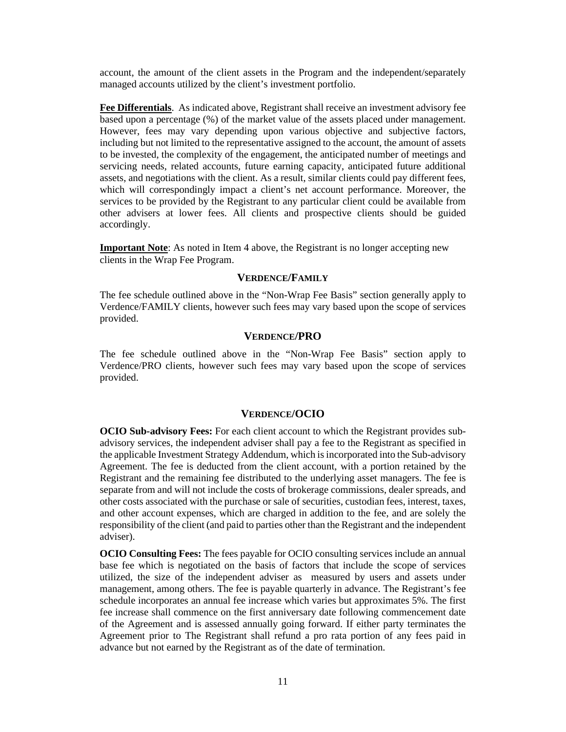account, the amount of the client assets in the Program and the independent/separately managed accounts utilized by the client's investment portfolio.

**Fee Differentials**. As indicated above, Registrant shall receive an investment advisory fee based upon a percentage (%) of the market value of the assets placed under management. However, fees may vary depending upon various objective and subjective factors, including but not limited to the representative assigned to the account, the amount of assets to be invested, the complexity of the engagement, the anticipated number of meetings and servicing needs, related accounts, future earning capacity, anticipated future additional assets, and negotiations with the client. As a result, similar clients could pay different fees, which will correspondingly impact a client's net account performance. Moreover, the services to be provided by the Registrant to any particular client could be available from other advisers at lower fees. All clients and prospective clients should be guided accordingly.

**Important Note**: As noted in Item 4 above, the Registrant is no longer accepting new clients in the Wrap Fee Program.

#### **VERDENCE/FAMILY**

The fee schedule outlined above in the "Non-Wrap Fee Basis" section generally apply to Verdence/FAMILY clients, however such fees may vary based upon the scope of services provided.

#### **VERDENCE/PRO**

The fee schedule outlined above in the "Non-Wrap Fee Basis" section apply to Verdence/PRO clients, however such fees may vary based upon the scope of services provided.

#### **VERDENCE/OCIO**

**OCIO Sub-advisory Fees:** For each client account to which the Registrant provides subadvisory services, the independent adviser shall pay a fee to the Registrant as specified in the applicable Investment Strategy Addendum, which is incorporated into the Sub-advisory Agreement. The fee is deducted from the client account, with a portion retained by the Registrant and the remaining fee distributed to the underlying asset managers. The fee is separate from and will not include the costs of brokerage commissions, dealer spreads, and other costs associated with the purchase or sale of securities, custodian fees, interest, taxes, and other account expenses, which are charged in addition to the fee, and are solely the responsibility of the client (and paid to parties other than the Registrant and the independent adviser).

**OCIO Consulting Fees:** The fees payable for OCIO consulting services include an annual base fee which is negotiated on the basis of factors that include the scope of services utilized, the size of the independent adviser as measured by users and assets under management, among others. The fee is payable quarterly in advance. The Registrant's fee schedule incorporates an annual fee increase which varies but approximates 5%. The first fee increase shall commence on the first anniversary date following commencement date of the Agreement and is assessed annually going forward. If either party terminates the Agreement prior to The Registrant shall refund a pro rata portion of any fees paid in advance but not earned by the Registrant as of the date of termination.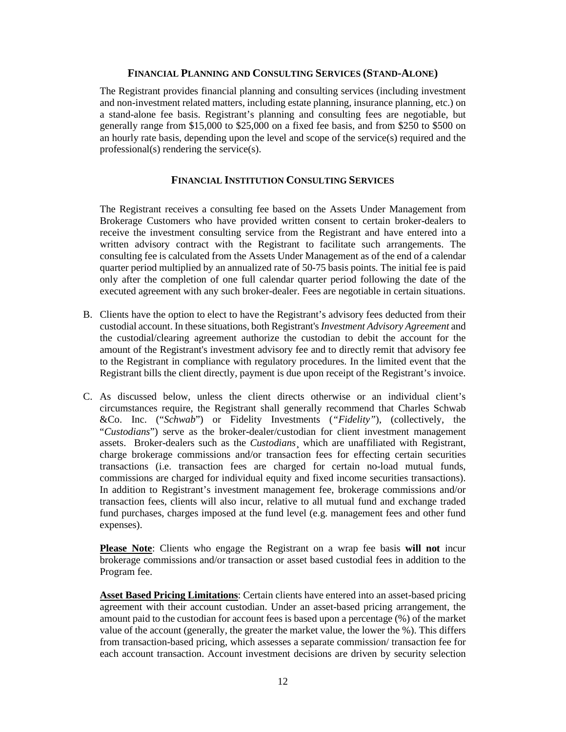#### **FINANCIAL PLANNING AND CONSULTING SERVICES (STAND-ALONE)**

The Registrant provides financial planning and consulting services (including investment and non-investment related matters, including estate planning, insurance planning, etc.) on a stand-alone fee basis. Registrant's planning and consulting fees are negotiable, but generally range from \$15,000 to \$25,000 on a fixed fee basis, and from \$250 to \$500 on an hourly rate basis, depending upon the level and scope of the service(s) required and the professional(s) rendering the service(s).

#### **FINANCIAL INSTITUTION CONSULTING SERVICES**

The Registrant receives a consulting fee based on the Assets Under Management from Brokerage Customers who have provided written consent to certain broker-dealers to receive the investment consulting service from the Registrant and have entered into a written advisory contract with the Registrant to facilitate such arrangements. The consulting fee is calculated from the Assets Under Management as of the end of a calendar quarter period multiplied by an annualized rate of 50-75 basis points. The initial fee is paid only after the completion of one full calendar quarter period following the date of the executed agreement with any such broker-dealer. Fees are negotiable in certain situations.

- B. Clients have the option to elect to have the Registrant's advisory fees deducted from their custodial account. In these situations, both Registrant's *Investment Advisory Agreement* and the custodial/clearing agreement authorize the custodian to debit the account for the amount of the Registrant's investment advisory fee and to directly remit that advisory fee to the Registrant in compliance with regulatory procedures. In the limited event that the Registrant bills the client directly, payment is due upon receipt of the Registrant's invoice.
- C. As discussed below, unless the client directs otherwise or an individual client's circumstances require, the Registrant shall generally recommend that Charles Schwab &Co. Inc. ("*Schwab*") or Fidelity Investments (*"Fidelity"*), (collectively, the "*Custodians*") serve as the broker-dealer/custodian for client investment management assets. Broker-dealers such as the *Custodians*¸ which are unaffiliated with Registrant, charge brokerage commissions and/or transaction fees for effecting certain securities transactions (i.e. transaction fees are charged for certain no-load mutual funds, commissions are charged for individual equity and fixed income securities transactions). In addition to Registrant's investment management fee, brokerage commissions and/or transaction fees, clients will also incur, relative to all mutual fund and exchange traded fund purchases, charges imposed at the fund level (e.g. management fees and other fund expenses).

**Please Note**: Clients who engage the Registrant on a wrap fee basis **will not** incur brokerage commissions and/or transaction or asset based custodial fees in addition to the Program fee.

**Asset Based Pricing Limitations**: Certain clients have entered into an asset-based pricing agreement with their account custodian. Under an asset-based pricing arrangement, the amount paid to the custodian for account fees is based upon a percentage (%) of the market value of the account (generally, the greater the market value, the lower the %). This differs from transaction-based pricing, which assesses a separate commission/ transaction fee for each account transaction. Account investment decisions are driven by security selection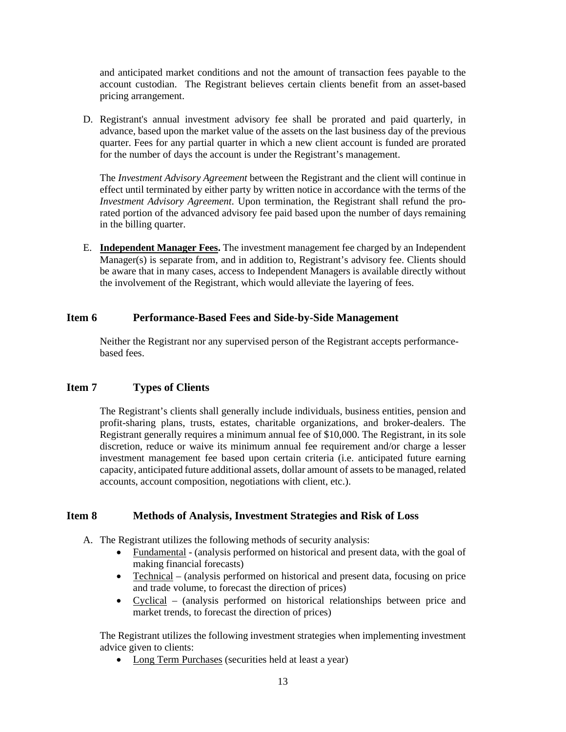and anticipated market conditions and not the amount of transaction fees payable to the account custodian. The Registrant believes certain clients benefit from an asset-based pricing arrangement.

D. Registrant's annual investment advisory fee shall be prorated and paid quarterly, in advance, based upon the market value of the assets on the last business day of the previous quarter. Fees for any partial quarter in which a new client account is funded are prorated for the number of days the account is under the Registrant's management.

The *Investment Advisory Agreement* between the Registrant and the client will continue in effect until terminated by either party by written notice in accordance with the terms of the *Investment Advisory Agreement*. Upon termination, the Registrant shall refund the prorated portion of the advanced advisory fee paid based upon the number of days remaining in the billing quarter.

E. **Independent Manager Fees.** The investment management fee charged by an Independent Manager(s) is separate from, and in addition to, Registrant's advisory fee. Clients should be aware that in many cases, access to Independent Managers is available directly without the involvement of the Registrant, which would alleviate the layering of fees.

#### <span id="page-12-0"></span>**Item 6 Performance-Based Fees and Side-by-Side Management**

Neither the Registrant nor any supervised person of the Registrant accepts performancebased fees.

#### <span id="page-12-1"></span>**Item 7 Types of Clients**

The Registrant's clients shall generally include individuals, business entities, pension and profit-sharing plans, trusts, estates, charitable organizations, and broker-dealers. The Registrant generally requires a minimum annual fee of \$10,000. The Registrant, in its sole discretion, reduce or waive its minimum annual fee requirement and/or charge a lesser investment management fee based upon certain criteria (i.e. anticipated future earning capacity, anticipated future additional assets, dollar amount of assets to be managed, related accounts, account composition, negotiations with client, etc.).

#### <span id="page-12-2"></span>**Item 8 Methods of Analysis, Investment Strategies and Risk of Loss**

- A. The Registrant utilizes the following methods of security analysis:
	- Fundamental (analysis performed on historical and present data, with the goal of making financial forecasts)
	- Technical (analysis performed on historical and present data, focusing on price and trade volume, to forecast the direction of prices)
	- Cyclical (analysis performed on historical relationships between price and market trends, to forecast the direction of prices)

The Registrant utilizes the following investment strategies when implementing investment advice given to clients:

• Long Term Purchases (securities held at least a year)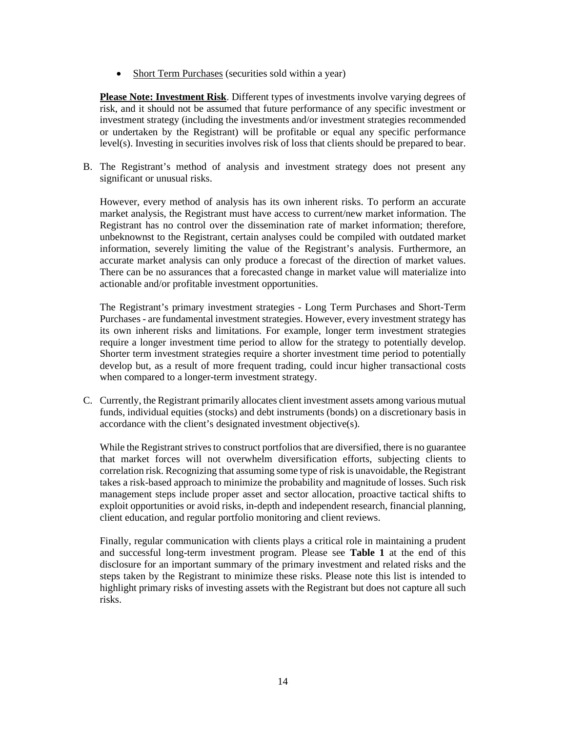• Short Term Purchases (securities sold within a year)

**Please Note: Investment Risk**. Different types of investments involve varying degrees of risk, and it should not be assumed that future performance of any specific investment or investment strategy (including the investments and/or investment strategies recommended or undertaken by the Registrant) will be profitable or equal any specific performance level(s). Investing in securities involves risk of loss that clients should be prepared to bear.

B. The Registrant's method of analysis and investment strategy does not present any significant or unusual risks.

However, every method of analysis has its own inherent risks. To perform an accurate market analysis, the Registrant must have access to current/new market information. The Registrant has no control over the dissemination rate of market information; therefore, unbeknownst to the Registrant, certain analyses could be compiled with outdated market information, severely limiting the value of the Registrant's analysis. Furthermore, an accurate market analysis can only produce a forecast of the direction of market values. There can be no assurances that a forecasted change in market value will materialize into actionable and/or profitable investment opportunities.

The Registrant's primary investment strategies - Long Term Purchases and Short-Term Purchases - are fundamental investment strategies. However, every investment strategy has its own inherent risks and limitations. For example, longer term investment strategies require a longer investment time period to allow for the strategy to potentially develop. Shorter term investment strategies require a shorter investment time period to potentially develop but, as a result of more frequent trading, could incur higher transactional costs when compared to a longer-term investment strategy.

C. Currently, the Registrant primarily allocates client investment assets among various mutual funds, individual equities (stocks) and debt instruments (bonds) on a discretionary basis in accordance with the client's designated investment objective(s).

While the Registrant strives to construct portfolios that are diversified, there is no guarantee that market forces will not overwhelm diversification efforts, subjecting clients to correlation risk. Recognizing that assuming some type of risk is unavoidable, the Registrant takes a risk-based approach to minimize the probability and magnitude of losses. Such risk management steps include proper asset and sector allocation, proactive tactical shifts to exploit opportunities or avoid risks, in-depth and independent research, financial planning, client education, and regular portfolio monitoring and client reviews.

Finally, regular communication with clients plays a critical role in maintaining a prudent and successful long-term investment program. Please see **Table 1** at the end of this disclosure for an important summary of the primary investment and related risks and the steps taken by the Registrant to minimize these risks. Please note this list is intended to highlight primary risks of investing assets with the Registrant but does not capture all such risks.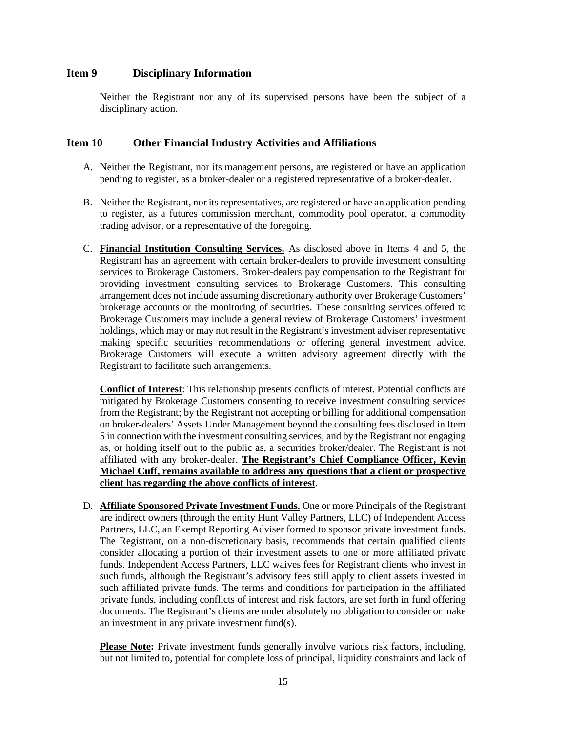#### <span id="page-14-0"></span>**Item 9 Disciplinary Information**

Neither the Registrant nor any of its supervised persons have been the subject of a disciplinary action.

#### <span id="page-14-1"></span>**Item 10 Other Financial Industry Activities and Affiliations**

- A. Neither the Registrant, nor its management persons, are registered or have an application pending to register, as a broker-dealer or a registered representative of a broker-dealer.
- B. Neither the Registrant, nor its representatives, are registered or have an application pending to register, as a futures commission merchant, commodity pool operator, a commodity trading advisor, or a representative of the foregoing.
- C. **Financial Institution Consulting Services.** As disclosed above in Items 4 and 5, the Registrant has an agreement with certain broker-dealers to provide investment consulting services to Brokerage Customers. Broker-dealers pay compensation to the Registrant for providing investment consulting services to Brokerage Customers. This consulting arrangement does not include assuming discretionary authority over Brokerage Customers' brokerage accounts or the monitoring of securities. These consulting services offered to Brokerage Customers may include a general review of Brokerage Customers' investment holdings, which may or may not result in the Registrant's investment adviser representative making specific securities recommendations or offering general investment advice. Brokerage Customers will execute a written advisory agreement directly with the Registrant to facilitate such arrangements.

**Conflict of Interest**: This relationship presents conflicts of interest. Potential conflicts are mitigated by Brokerage Customers consenting to receive investment consulting services from the Registrant; by the Registrant not accepting or billing for additional compensation on broker-dealers' Assets Under Management beyond the consulting fees disclosed in Item 5 in connection with the investment consulting services; and by the Registrant not engaging as, or holding itself out to the public as, a securities broker/dealer. The Registrant is not affiliated with any broker-dealer. **The Registrant's Chief Compliance Officer, Kevin Michael Cuff, remains available to address any questions that a client or prospective client has regarding the above conflicts of interest**.

D. **Affiliate Sponsored Private Investment Funds.** One or more Principals of the Registrant are indirect owners (through the entity Hunt Valley Partners, LLC) of Independent Access Partners, LLC, an Exempt Reporting Adviser formed to sponsor private investment funds. The Registrant, on a non-discretionary basis, recommends that certain qualified clients consider allocating a portion of their investment assets to one or more affiliated private funds. Independent Access Partners, LLC waives fees for Registrant clients who invest in such funds, although the Registrant's advisory fees still apply to client assets invested in such affiliated private funds. The terms and conditions for participation in the affiliated private funds, including conflicts of interest and risk factors, are set forth in fund offering documents. The Registrant's clients are under absolutely no obligation to consider or make an investment in any private investment fund(s).

**Please Note:** Private investment funds generally involve various risk factors, including, but not limited to, potential for complete loss of principal, liquidity constraints and lack of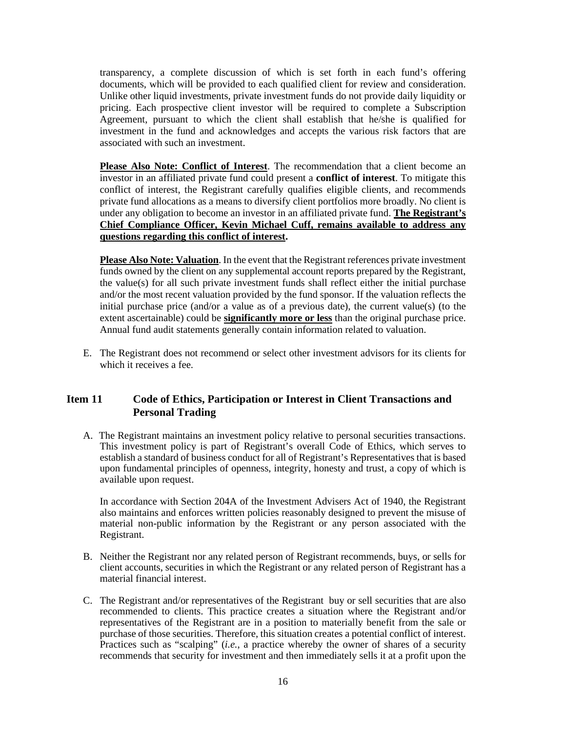transparency, a complete discussion of which is set forth in each fund's offering documents, which will be provided to each qualified client for review and consideration. Unlike other liquid investments, private investment funds do not provide daily liquidity or pricing. Each prospective client investor will be required to complete a Subscription Agreement, pursuant to which the client shall establish that he/she is qualified for investment in the fund and acknowledges and accepts the various risk factors that are associated with such an investment.

**Please Also Note: Conflict of Interest**. The recommendation that a client become an investor in an affiliated private fund could present a **conflict of interest**. To mitigate this conflict of interest, the Registrant carefully qualifies eligible clients, and recommends private fund allocations as a means to diversify client portfolios more broadly. No client is under any obligation to become an investor in an affiliated private fund. **The Registrant's Chief Compliance Officer, Kevin Michael Cuff, remains available to address any questions regarding this conflict of interest.**

**Please Also Note: Valuation**. In the event that the Registrant references private investment funds owned by the client on any supplemental account reports prepared by the Registrant, the value(s) for all such private investment funds shall reflect either the initial purchase and/or the most recent valuation provided by the fund sponsor. If the valuation reflects the initial purchase price (and/or a value as of a previous date), the current value(s) (to the extent ascertainable) could be **significantly more or less** than the original purchase price. Annual fund audit statements generally contain information related to valuation.

E. The Registrant does not recommend or select other investment advisors for its clients for which it receives a fee.

### <span id="page-15-0"></span>**Item 11 Code of Ethics, Participation or Interest in Client Transactions and Personal Trading**

A. The Registrant maintains an investment policy relative to personal securities transactions. This investment policy is part of Registrant's overall Code of Ethics, which serves to establish a standard of business conduct for all of Registrant's Representatives that is based upon fundamental principles of openness, integrity, honesty and trust, a copy of which is available upon request.

In accordance with Section 204A of the Investment Advisers Act of 1940, the Registrant also maintains and enforces written policies reasonably designed to prevent the misuse of material non-public information by the Registrant or any person associated with the Registrant.

- B. Neither the Registrant nor any related person of Registrant recommends, buys, or sells for client accounts, securities in which the Registrant or any related person of Registrant has a material financial interest.
- C. The Registrant and/or representatives of the Registrant buy or sell securities that are also recommended to clients. This practice creates a situation where the Registrant and/or representatives of the Registrant are in a position to materially benefit from the sale or purchase of those securities. Therefore, this situation creates a potential conflict of interest. Practices such as "scalping" (*i.e.*, a practice whereby the owner of shares of a security recommends that security for investment and then immediately sells it at a profit upon the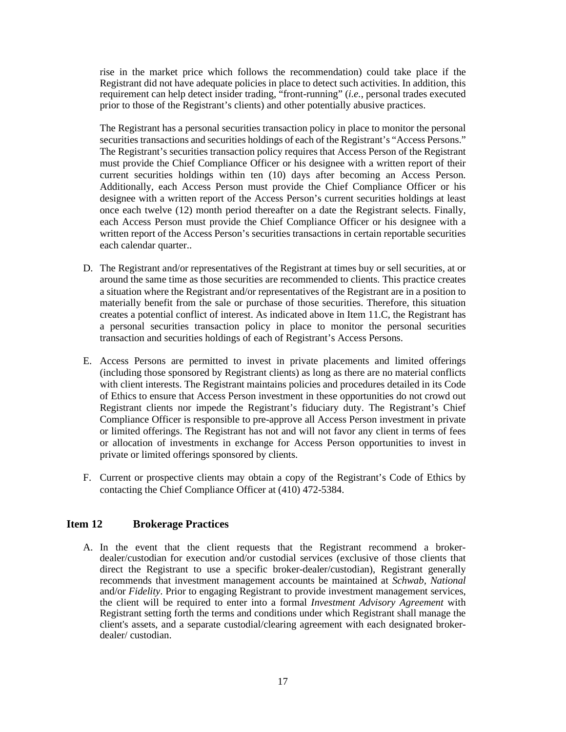rise in the market price which follows the recommendation) could take place if the Registrant did not have adequate policies in place to detect such activities. In addition, this requirement can help detect insider trading, "front-running" (*i.e.*, personal trades executed prior to those of the Registrant's clients) and other potentially abusive practices.

The Registrant has a personal securities transaction policy in place to monitor the personal securities transactions and securities holdings of each of the Registrant's "Access Persons." The Registrant's securities transaction policy requires that Access Person of the Registrant must provide the Chief Compliance Officer or his designee with a written report of their current securities holdings within ten (10) days after becoming an Access Person. Additionally, each Access Person must provide the Chief Compliance Officer or his designee with a written report of the Access Person's current securities holdings at least once each twelve (12) month period thereafter on a date the Registrant selects. Finally, each Access Person must provide the Chief Compliance Officer or his designee with a written report of the Access Person's securities transactions in certain reportable securities each calendar quarter..

- D. The Registrant and/or representatives of the Registrant at times buy or sell securities, at or around the same time as those securities are recommended to clients. This practice creates a situation where the Registrant and/or representatives of the Registrant are in a position to materially benefit from the sale or purchase of those securities. Therefore, this situation creates a potential conflict of interest. As indicated above in Item 11.C, the Registrant has a personal securities transaction policy in place to monitor the personal securities transaction and securities holdings of each of Registrant's Access Persons.
- E. Access Persons are permitted to invest in private placements and limited offerings (including those sponsored by Registrant clients) as long as there are no material conflicts with client interests. The Registrant maintains policies and procedures detailed in its Code of Ethics to ensure that Access Person investment in these opportunities do not crowd out Registrant clients nor impede the Registrant's fiduciary duty. The Registrant's Chief Compliance Officer is responsible to pre-approve all Access Person investment in private or limited offerings. The Registrant has not and will not favor any client in terms of fees or allocation of investments in exchange for Access Person opportunities to invest in private or limited offerings sponsored by clients.
- F. Current or prospective clients may obtain a copy of the Registrant's Code of Ethics by contacting the Chief Compliance Officer at (410) 472-5384.

#### <span id="page-16-0"></span>**Item 12 Brokerage Practices**

A. In the event that the client requests that the Registrant recommend a brokerdealer/custodian for execution and/or custodial services (exclusive of those clients that direct the Registrant to use a specific broker-dealer/custodian), Registrant generally recommends that investment management accounts be maintained at *Schwab, National*  and/or *Fidelity*. Prior to engaging Registrant to provide investment management services, the client will be required to enter into a formal *Investment Advisory Agreement* with Registrant setting forth the terms and conditions under which Registrant shall manage the client's assets, and a separate custodial/clearing agreement with each designated brokerdealer/ custodian.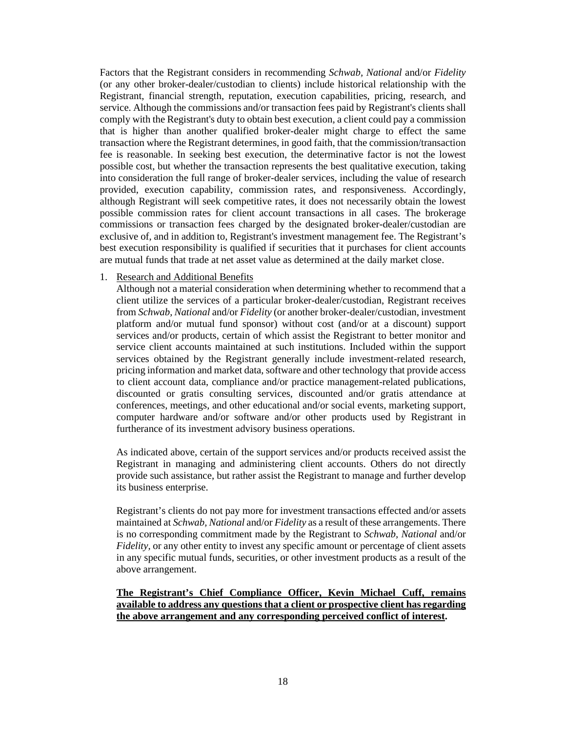Factors that the Registrant considers in recommending *Schwab, National* and/or *Fidelity* (or any other broker-dealer/custodian to clients) include historical relationship with the Registrant, financial strength, reputation, execution capabilities, pricing, research, and service. Although the commissions and/or transaction fees paid by Registrant's clients shall comply with the Registrant's duty to obtain best execution, a client could pay a commission that is higher than another qualified broker-dealer might charge to effect the same transaction where the Registrant determines, in good faith, that the commission/transaction fee is reasonable. In seeking best execution, the determinative factor is not the lowest possible cost, but whether the transaction represents the best qualitative execution, taking into consideration the full range of broker-dealer services, including the value of research provided, execution capability, commission rates, and responsiveness. Accordingly, although Registrant will seek competitive rates, it does not necessarily obtain the lowest possible commission rates for client account transactions in all cases. The brokerage commissions or transaction fees charged by the designated broker-dealer/custodian are exclusive of, and in addition to, Registrant's investment management fee. The Registrant's best execution responsibility is qualified if securities that it purchases for client accounts are mutual funds that trade at net asset value as determined at the daily market close.

1. Research and Additional Benefits

Although not a material consideration when determining whether to recommend that a client utilize the services of a particular broker-dealer/custodian, Registrant receives from *Schwab, National* and/or *Fidelity* (or another broker-dealer/custodian, investment platform and/or mutual fund sponsor) without cost (and/or at a discount) support services and/or products, certain of which assist the Registrant to better monitor and service client accounts maintained at such institutions. Included within the support services obtained by the Registrant generally include investment-related research, pricing information and market data, software and other technology that provide access to client account data, compliance and/or practice management-related publications, discounted or gratis consulting services, discounted and/or gratis attendance at conferences, meetings, and other educational and/or social events, marketing support, computer hardware and/or software and/or other products used by Registrant in furtherance of its investment advisory business operations.

As indicated above, certain of the support services and/or products received assist the Registrant in managing and administering client accounts. Others do not directly provide such assistance, but rather assist the Registrant to manage and further develop its business enterprise.

Registrant's clients do not pay more for investment transactions effected and/or assets maintained at *Schwab, National* and/or *Fidelity* as a result of these arrangements. There is no corresponding commitment made by the Registrant to *Schwab, National* and/or *Fidelity,* or any other entity to invest any specific amount or percentage of client assets in any specific mutual funds, securities, or other investment products as a result of the above arrangement.

#### **The Registrant's Chief Compliance Officer, Kevin Michael Cuff, remains available to address any questions that a client or prospective client has regarding the above arrangement and any corresponding perceived conflict of interest.**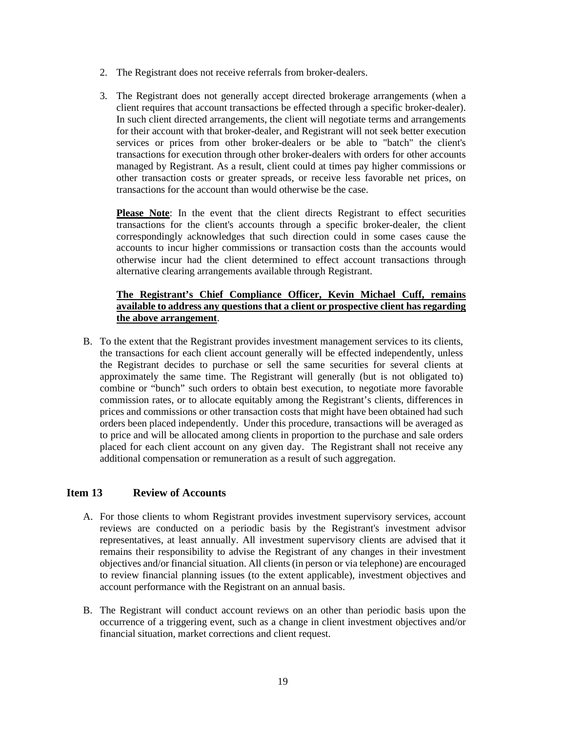- 2. The Registrant does not receive referrals from broker-dealers.
- 3. The Registrant does not generally accept directed brokerage arrangements (when a client requires that account transactions be effected through a specific broker-dealer). In such client directed arrangements, the client will negotiate terms and arrangements for their account with that broker-dealer, and Registrant will not seek better execution services or prices from other broker-dealers or be able to "batch" the client's transactions for execution through other broker-dealers with orders for other accounts managed by Registrant. As a result, client could at times pay higher commissions or other transaction costs or greater spreads, or receive less favorable net prices, on transactions for the account than would otherwise be the case.

**Please Note**: In the event that the client directs Registrant to effect securities transactions for the client's accounts through a specific broker-dealer, the client correspondingly acknowledges that such direction could in some cases cause the accounts to incur higher commissions or transaction costs than the accounts would otherwise incur had the client determined to effect account transactions through alternative clearing arrangements available through Registrant.

#### **The Registrant's Chief Compliance Officer, Kevin Michael Cuff, remains available to address any questions that a client or prospective client has regarding the above arrangement**.

B. To the extent that the Registrant provides investment management services to its clients, the transactions for each client account generally will be effected independently, unless the Registrant decides to purchase or sell the same securities for several clients at approximately the same time. The Registrant will generally (but is not obligated to) combine or "bunch" such orders to obtain best execution, to negotiate more favorable commission rates, or to allocate equitably among the Registrant's clients, differences in prices and commissions or other transaction costs that might have been obtained had such orders been placed independently. Under this procedure, transactions will be averaged as to price and will be allocated among clients in proportion to the purchase and sale orders placed for each client account on any given day. The Registrant shall not receive any additional compensation or remuneration as a result of such aggregation.

#### <span id="page-18-0"></span>**Item 13 Review of Accounts**

- A. For those clients to whom Registrant provides investment supervisory services, account reviews are conducted on a periodic basis by the Registrant's investment advisor representatives, at least annually. All investment supervisory clients are advised that it remains their responsibility to advise the Registrant of any changes in their investment objectives and/or financial situation. All clients (in person or via telephone) are encouraged to review financial planning issues (to the extent applicable), investment objectives and account performance with the Registrant on an annual basis.
- B. The Registrant will conduct account reviews on an other than periodic basis upon the occurrence of a triggering event, such as a change in client investment objectives and/or financial situation, market corrections and client request.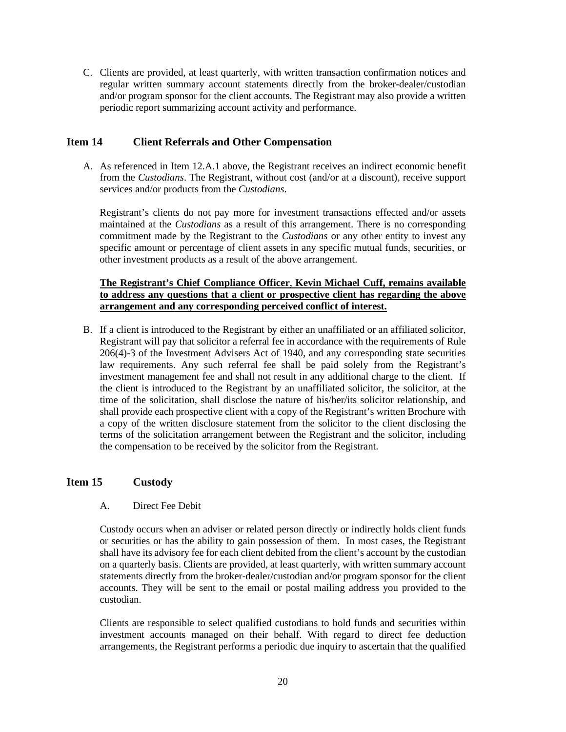C. Clients are provided, at least quarterly, with written transaction confirmation notices and regular written summary account statements directly from the broker-dealer/custodian and/or program sponsor for the client accounts. The Registrant may also provide a written periodic report summarizing account activity and performance.

#### <span id="page-19-0"></span>**Item 14 Client Referrals and Other Compensation**

A. As referenced in Item 12.A.1 above, the Registrant receives an indirect economic benefit from the *Custodians*. The Registrant, without cost (and/or at a discount), receive support services and/or products from the *Custodians*.

Registrant's clients do not pay more for investment transactions effected and/or assets maintained at the *Custodians* as a result of this arrangement. There is no corresponding commitment made by the Registrant to the *Custodians* or any other entity to invest any specific amount or percentage of client assets in any specific mutual funds, securities, or other investment products as a result of the above arrangement.

#### **The Registrant's Chief Compliance Officer**, **Kevin Michael Cuff, remains available to address any questions that a client or prospective client has regarding the above arrangement and any corresponding perceived conflict of interest.**

B. If a client is introduced to the Registrant by either an unaffiliated or an affiliated solicitor, Registrant will pay that solicitor a referral fee in accordance with the requirements of Rule 206(4)-3 of the Investment Advisers Act of 1940, and any corresponding state securities law requirements. Any such referral fee shall be paid solely from the Registrant's investment management fee and shall not result in any additional charge to the client. If the client is introduced to the Registrant by an unaffiliated solicitor, the solicitor, at the time of the solicitation, shall disclose the nature of his/her/its solicitor relationship, and shall provide each prospective client with a copy of the Registrant's written Brochure with a copy of the written disclosure statement from the solicitor to the client disclosing the terms of the solicitation arrangement between the Registrant and the solicitor, including the compensation to be received by the solicitor from the Registrant.

#### **Item 15 Custody**

#### A. Direct Fee Debit

Custody occurs when an adviser or related person directly or indirectly holds client funds or securities or has the ability to gain possession of them. In most cases, the Registrant shall have its advisory fee for each client debited from the client's account by the custodian on a quarterly basis. Clients are provided, at least quarterly, with written summary account statements directly from the broker-dealer/custodian and/or program sponsor for the client accounts. They will be sent to the email or postal mailing address you provided to the custodian.

Clients are responsible to select qualified custodians to hold funds and securities within investment accounts managed on their behalf. With regard to direct fee deduction arrangements, the Registrant performs a periodic due inquiry to ascertain that the qualified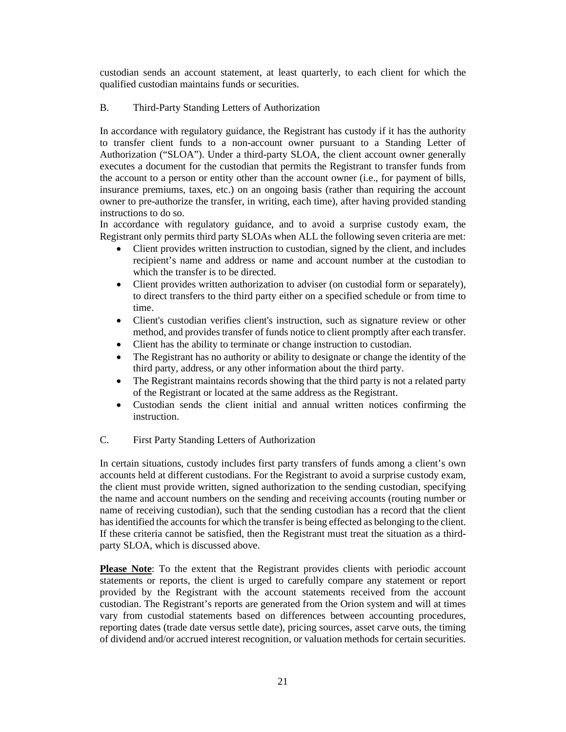custodian sends an account statement, at least quarterly, to each client for which the qualified custodian maintains funds or securities.

#### B. Third-Party Standing Letters of Authorization

In accordance with regulatory guidance, the Registrant has custody if it has the authority to transfer client funds to a non-account owner pursuant to a Standing Letter of Authorization ("SLOA"). Under a third-party SLOA, the client account owner generally executes a document for the custodian that permits the Registrant to transfer funds from the account to a person or entity other than the account owner (i.e., for payment of bills, insurance premiums, taxes, etc.) on an ongoing basis (rather than requiring the account owner to pre-authorize the transfer, in writing, each time), after having provided standing instructions to do so.

In accordance with regulatory guidance, and to avoid a surprise custody exam, the Registrant only permits third party SLOAs when ALL the following seven criteria are met:

- Client provides written instruction to custodian, signed by the client, and includes recipient's name and address or name and account number at the custodian to which the transfer is to be directed.
- Client provides written authorization to adviser (on custodial form or separately), to direct transfers to the third party either on a specified schedule or from time to time.
- Client's custodian verifies client's instruction, such as signature review or other method, and provides transfer of funds notice to client promptly after each transfer.
- Client has the ability to terminate or change instruction to custodian.
- The Registrant has no authority or ability to designate or change the identity of the third party, address, or any other information about the third party.
- The Registrant maintains records showing that the third party is not a related party of the Registrant or located at the same address as the Registrant.
- Custodian sends the client initial and annual written notices confirming the instruction.

#### C. First Party Standing Letters of Authorization

In certain situations, custody includes first party transfers of funds among a client's own accounts held at different custodians. For the Registrant to avoid a surprise custody exam, the client must provide written, signed authorization to the sending custodian, specifying the name and account numbers on the sending and receiving accounts (routing number or name of receiving custodian), such that the sending custodian has a record that the client has identified the accounts for which the transfer is being effected as belonging to the client. If these criteria cannot be satisfied, then the Registrant must treat the situation as a thirdparty SLOA, which is discussed above.

**Please Note**: To the extent that the Registrant provides clients with periodic account statements or reports, the client is urged to carefully compare any statement or report provided by the Registrant with the account statements received from the account custodian. The Registrant's reports are generated from the Orion system and will at times vary from custodial statements based on differences between accounting procedures, reporting dates (trade date versus settle date), pricing sources, asset carve outs, the timing of dividend and/or accrued interest recognition, or valuation methods for certain securities.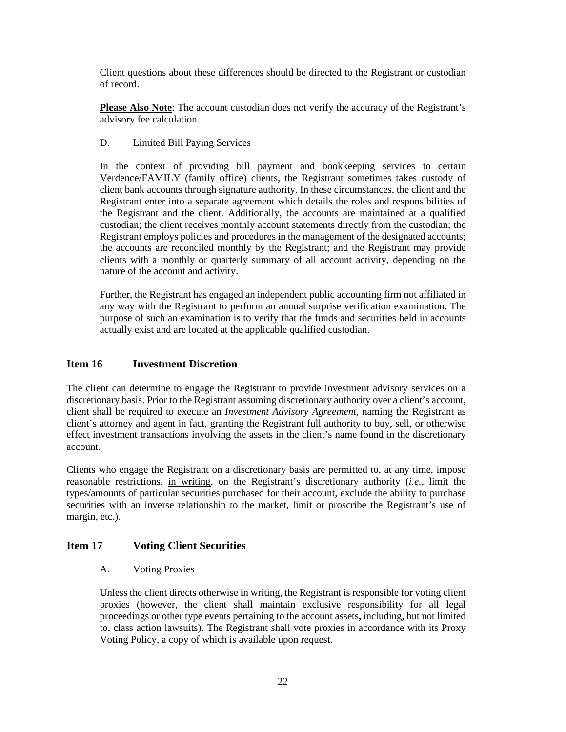Client questions about these differences should be directed to the Registrant or custodian of record.

**Please Also Note**: The account custodian does not verify the accuracy of the Registrant's advisory fee calculation.

#### D. Limited Bill Paying Services

In the context of providing bill payment and bookkeeping services to certain Verdence/FAMILY (family office) clients, the Registrant sometimes takes custody of client bank accounts through signature authority. In these circumstances, the client and the Registrant enter into a separate agreement which details the roles and responsibilities of the Registrant and the client. Additionally, the accounts are maintained at a qualified custodian; the client receives monthly account statements directly from the custodian; the Registrant employs policies and procedures in the management of the designated accounts; the accounts are reconciled monthly by the Registrant; and the Registrant may provide clients with a monthly or quarterly summary of all account activity, depending on the nature of the account and activity.

<span id="page-21-0"></span>Further, the Registrant has engaged an independent public accounting firm not affiliated in any way with the Registrant to perform an annual surprise verification examination. The purpose of such an examination is to verify that the funds and securities held in accounts actually exist and are located at the applicable qualified custodian.

#### **Item 16 Investment Discretion**

The client can determine to engage the Registrant to provide investment advisory services on a discretionary basis. Prior to the Registrant assuming discretionary authority over a client's account, client shall be required to execute an *Investment Advisory Agreement*, naming the Registrant as client's attorney and agent in fact, granting the Registrant full authority to buy, sell, or otherwise effect investment transactions involving the assets in the client's name found in the discretionary account.

Clients who engage the Registrant on a discretionary basis are permitted to, at any time, impose reasonable restrictions, in writing, on the Registrant's discretionary authority (*i.e.*, limit the types/amounts of particular securities purchased for their account, exclude the ability to purchase securities with an inverse relationship to the market, limit or proscribe the Registrant's use of margin, etc.).

#### <span id="page-21-1"></span>**Item 17 Voting Client Securities**

A. Voting Proxies

Unless the client directs otherwise in writing, the Registrant is responsible for voting client proxies (however, the client shall maintain exclusive responsibility for all legal proceedings or other type events pertaining to the account assets**,** including, but not limited to, class action lawsuits). The Registrant shall vote proxies in accordance with its Proxy Voting Policy, a copy of which is available upon request.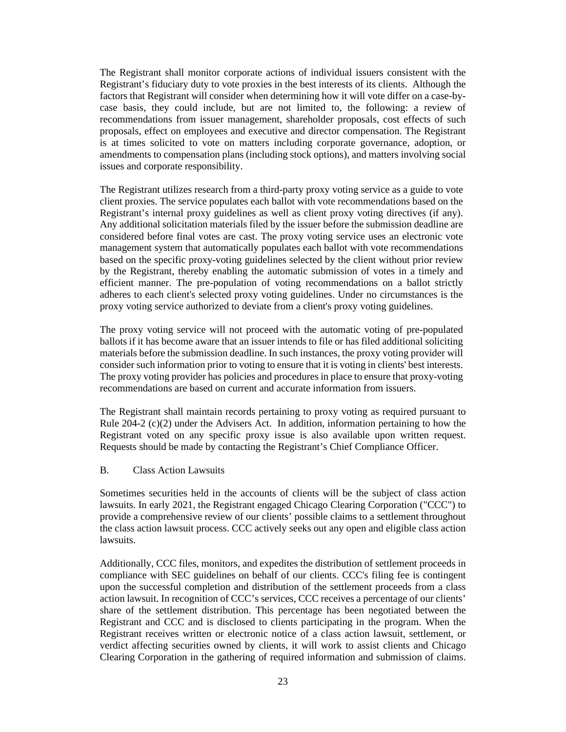The Registrant shall monitor corporate actions of individual issuers consistent with the Registrant's fiduciary duty to vote proxies in the best interests of its clients. Although the factors that Registrant will consider when determining how it will vote differ on a case-bycase basis, they could include, but are not limited to, the following: a review of recommendations from issuer management, shareholder proposals, cost effects of such proposals, effect on employees and executive and director compensation. The Registrant is at times solicited to vote on matters including corporate governance, adoption, or amendments to compensation plans (including stock options), and matters involving social issues and corporate responsibility.

The Registrant utilizes research from a third-party proxy voting service as a guide to vote client proxies. The service populates each ballot with vote recommendations based on the Registrant's internal proxy guidelines as well as client proxy voting directives (if any). Any additional solicitation materials filed by the issuer before the submission deadline are considered before final votes are cast. The proxy voting service uses an electronic vote management system that automatically populates each ballot with vote recommendations based on the specific proxy-voting guidelines selected by the client without prior review by the Registrant, thereby enabling the automatic submission of votes in a timely and efficient manner. The pre-population of voting recommendations on a ballot strictly adheres to each client's selected proxy voting guidelines. Under no circumstances is the proxy voting service authorized to deviate from a client's proxy voting guidelines.

The proxy voting service will not proceed with the automatic voting of pre-populated ballots if it has become aware that an issuer intends to file or has filed additional soliciting materials before the submission deadline. In such instances, the proxy voting provider will consider such information prior to voting to ensure that it is voting in clients' best interests. The proxy voting provider has policies and procedures in place to ensure that proxy-voting recommendations are based on current and accurate information from issuers.

The Registrant shall maintain records pertaining to proxy voting as required pursuant to Rule 204-2 (c)(2) under the Advisers Act. In addition, information pertaining to how the Registrant voted on any specific proxy issue is also available upon written request. Requests should be made by contacting the Registrant's Chief Compliance Officer.

#### B. Class Action Lawsuits

Sometimes securities held in the accounts of clients will be the subject of class action lawsuits. In early 2021, the Registrant engaged Chicago Clearing Corporation ("CCC") to provide a comprehensive review of our clients' possible claims to a settlement throughout the class action lawsuit process. CCC actively seeks out any open and eligible class action lawsuits.

Additionally, CCC files, monitors, and expedites the distribution of settlement proceeds in compliance with SEC guidelines on behalf of our clients. CCC's filing fee is contingent upon the successful completion and distribution of the settlement proceeds from a class action lawsuit. In recognition of CCC's services, CCC receives a percentage of our clients' share of the settlement distribution. This percentage has been negotiated between the Registrant and CCC and is disclosed to clients participating in the program. When the Registrant receives written or electronic notice of a class action lawsuit, settlement, or verdict affecting securities owned by clients, it will work to assist clients and Chicago Clearing Corporation in the gathering of required information and submission of claims.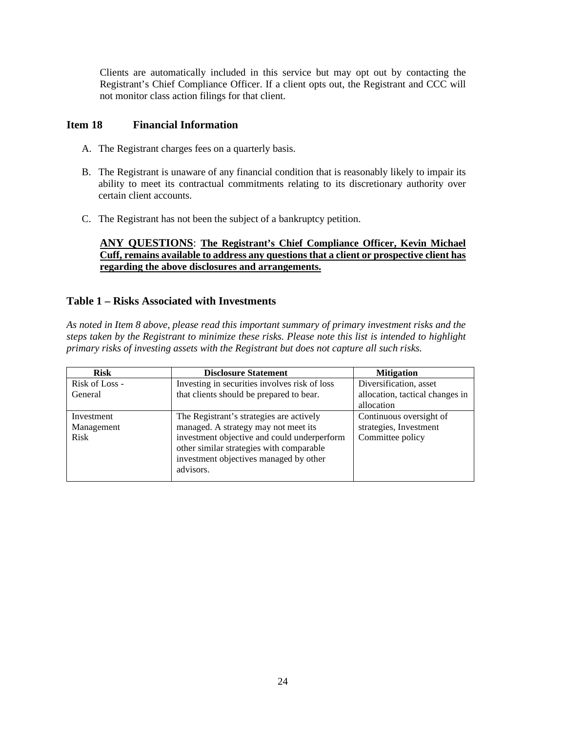<span id="page-23-0"></span>Clients are automatically included in this service but may opt out by contacting the Registrant's Chief Compliance Officer. If a client opts out, the Registrant and CCC will not monitor class action filings for that client.

#### **Item 18 Financial Information**

- A. The Registrant charges fees on a quarterly basis.
- B. The Registrant is unaware of any financial condition that is reasonably likely to impair its ability to meet its contractual commitments relating to its discretionary authority over certain client accounts.
- C. The Registrant has not been the subject of a bankruptcy petition.

#### **ANY QUESTIONS**: **The Registrant's Chief Compliance Officer, Kevin Michael Cuff, remains available to address any questions that a client or prospective client has regarding the above disclosures and arrangements.**

#### **Table 1 – Risks Associated with Investments**

*As noted in Item 8 above, please read this important summary of primary investment risks and the steps taken by the Registrant to minimize these risks. Please note this list is intended to highlight primary risks of investing assets with the Registrant but does not capture all such risks.*

| <b>Risk</b>    | <b>Disclosure Statement</b>                   | <b>Mitigation</b>               |
|----------------|-----------------------------------------------|---------------------------------|
| Risk of Loss - | Investing in securities involves risk of loss | Diversification, asset          |
| General        | that clients should be prepared to bear.      | allocation, tactical changes in |
|                |                                               | allocation                      |
| Investment     | The Registrant's strategies are actively      | Continuous oversight of         |
| Management     | managed. A strategy may not meet its          | strategies, Investment          |
| <b>Risk</b>    | investment objective and could underperform   | Committee policy                |
|                | other similar strategies with comparable      |                                 |
|                | investment objectives managed by other        |                                 |
|                | advisors.                                     |                                 |
|                |                                               |                                 |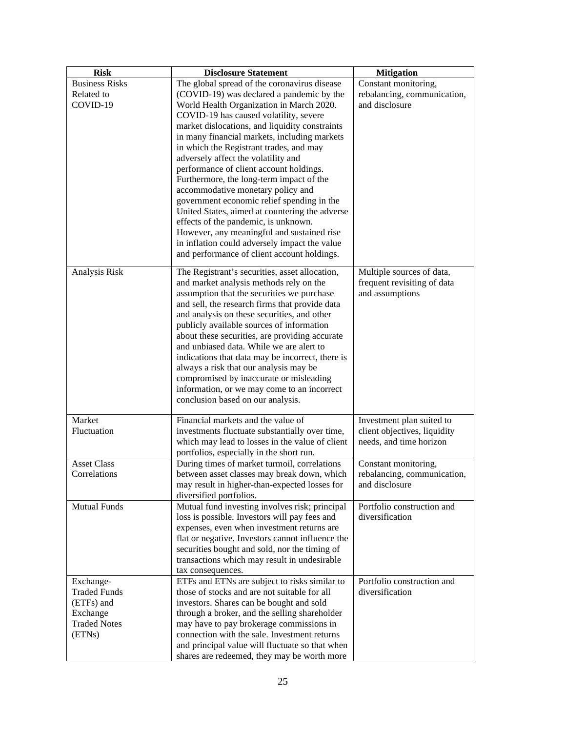| <b>Risk</b>           | <b>Disclosure Statement</b>                                               | <b>Mitigation</b>                             |
|-----------------------|---------------------------------------------------------------------------|-----------------------------------------------|
| <b>Business Risks</b> | The global spread of the coronavirus disease                              | Constant monitoring,                          |
| Related to            | (COVID-19) was declared a pandemic by the                                 | rebalancing, communication,                   |
| COVID-19              | World Health Organization in March 2020.                                  | and disclosure                                |
|                       | COVID-19 has caused volatility, severe                                    |                                               |
|                       | market dislocations, and liquidity constraints                            |                                               |
|                       | in many financial markets, including markets                              |                                               |
|                       | in which the Registrant trades, and may                                   |                                               |
|                       | adversely affect the volatility and                                       |                                               |
|                       | performance of client account holdings.                                   |                                               |
|                       | Furthermore, the long-term impact of the                                  |                                               |
|                       | accommodative monetary policy and                                         |                                               |
|                       | government economic relief spending in the                                |                                               |
|                       | United States, aimed at countering the adverse                            |                                               |
|                       | effects of the pandemic, is unknown.                                      |                                               |
|                       | However, any meaningful and sustained rise                                |                                               |
|                       | in inflation could adversely impact the value                             |                                               |
|                       | and performance of client account holdings.                               |                                               |
| Analysis Risk         | The Registrant's securities, asset allocation,                            | Multiple sources of data,                     |
|                       | and market analysis methods rely on the                                   | frequent revisiting of data                   |
|                       | assumption that the securities we purchase                                | and assumptions                               |
|                       | and sell, the research firms that provide data                            |                                               |
|                       | and analysis on these securities, and other                               |                                               |
|                       | publicly available sources of information                                 |                                               |
|                       | about these securities, are providing accurate                            |                                               |
|                       | and unbiased data. While we are alert to                                  |                                               |
|                       | indications that data may be incorrect, there is                          |                                               |
|                       | always a risk that our analysis may be                                    |                                               |
|                       | compromised by inaccurate or misleading                                   |                                               |
|                       | information, or we may come to an incorrect                               |                                               |
|                       | conclusion based on our analysis.                                         |                                               |
|                       |                                                                           |                                               |
| Market                | Financial markets and the value of                                        | Investment plan suited to                     |
| Fluctuation           | investments fluctuate substantially over time,                            | client objectives, liquidity                  |
|                       | which may lead to losses in the value of client                           | needs, and time horizon                       |
|                       | portfolios, especially in the short run.                                  |                                               |
| <b>Asset Class</b>    | During times of market turmoil, correlations                              | Constant monitoring,                          |
| Correlations          | between asset classes may break down, which                               | rebalancing, communication,<br>and disclosure |
|                       | may result in higher-than-expected losses for                             |                                               |
| <b>Mutual Funds</b>   | diversified portfolios.<br>Mutual fund investing involves risk; principal | Portfolio construction and                    |
|                       | loss is possible. Investors will pay fees and                             | diversification                               |
|                       | expenses, even when investment returns are                                |                                               |
|                       | flat or negative. Investors cannot influence the                          |                                               |
|                       | securities bought and sold, nor the timing of                             |                                               |
|                       | transactions which may result in undesirable                              |                                               |
|                       | tax consequences.                                                         |                                               |
| Exchange-             | ETFs and ETNs are subject to risks similar to                             | Portfolio construction and                    |
| <b>Traded Funds</b>   | those of stocks and are not suitable for all                              | diversification                               |
| (ETFs) and            | investors. Shares can be bought and sold                                  |                                               |
| Exchange              | through a broker, and the selling shareholder                             |                                               |
| <b>Traded Notes</b>   | may have to pay brokerage commissions in                                  |                                               |
| (ETNs)                | connection with the sale. Investment returns                              |                                               |
|                       | and principal value will fluctuate so that when                           |                                               |
|                       | shares are redeemed, they may be worth more                               |                                               |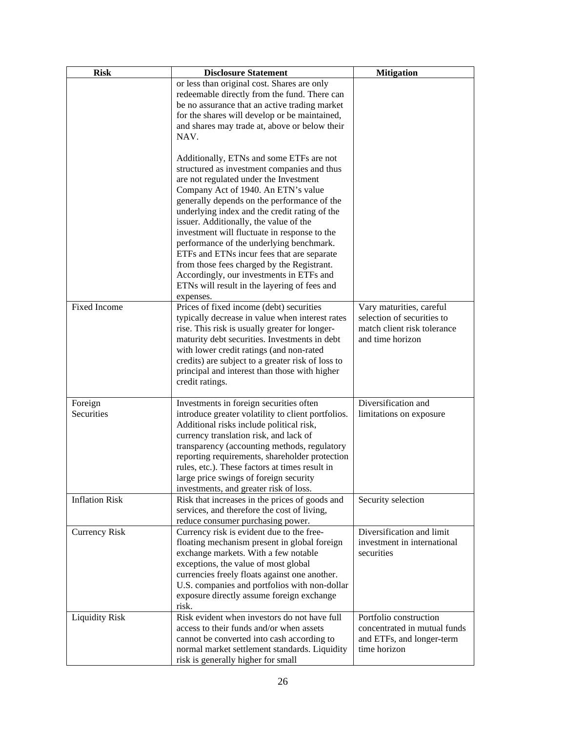| <b>Risk</b>           | <b>Disclosure Statement</b>                        | <b>Mitigation</b>            |
|-----------------------|----------------------------------------------------|------------------------------|
|                       | or less than original cost. Shares are only        |                              |
|                       | redeemable directly from the fund. There can       |                              |
|                       | be no assurance that an active trading market      |                              |
|                       | for the shares will develop or be maintained,      |                              |
|                       | and shares may trade at, above or below their      |                              |
|                       | NAV.                                               |                              |
|                       |                                                    |                              |
|                       | Additionally, ETNs and some ETFs are not           |                              |
|                       | structured as investment companies and thus        |                              |
|                       | are not regulated under the Investment             |                              |
|                       | Company Act of 1940. An ETN's value                |                              |
|                       | generally depends on the performance of the        |                              |
|                       | underlying index and the credit rating of the      |                              |
|                       | issuer. Additionally, the value of the             |                              |
|                       | investment will fluctuate in response to the       |                              |
|                       | performance of the underlying benchmark.           |                              |
|                       | ETFs and ETNs incur fees that are separate         |                              |
|                       | from those fees charged by the Registrant.         |                              |
|                       | Accordingly, our investments in ETFs and           |                              |
|                       | ETNs will result in the layering of fees and       |                              |
|                       | expenses.                                          |                              |
| Fixed Income          | Prices of fixed income (debt) securities           | Vary maturities, careful     |
|                       | typically decrease in value when interest rates    | selection of securities to   |
|                       | rise. This risk is usually greater for longer-     | match client risk tolerance  |
|                       | maturity debt securities. Investments in debt      | and time horizon             |
|                       | with lower credit ratings (and non-rated           |                              |
|                       | credits) are subject to a greater risk of loss to  |                              |
|                       | principal and interest than those with higher      |                              |
|                       | credit ratings.                                    |                              |
|                       |                                                    |                              |
| Foreign               | Investments in foreign securities often            | Diversification and          |
| Securities            | introduce greater volatility to client portfolios. | limitations on exposure      |
|                       | Additional risks include political risk,           |                              |
|                       | currency translation risk, and lack of             |                              |
|                       | transparency (accounting methods, regulatory       |                              |
|                       | reporting requirements, shareholder protection     |                              |
|                       | rules, etc.). These factors at times result in     |                              |
|                       | large price swings of foreign security             |                              |
|                       | investments, and greater risk of loss.             |                              |
| <b>Inflation Risk</b> | Risk that increases in the prices of goods and     | Security selection           |
|                       | services, and therefore the cost of living,        |                              |
|                       | reduce consumer purchasing power.                  |                              |
| <b>Currency Risk</b>  | Currency risk is evident due to the free-          | Diversification and limit    |
|                       | floating mechanism present in global foreign       | investment in international  |
|                       | exchange markets. With a few notable               | securities                   |
|                       | exceptions, the value of most global               |                              |
|                       | currencies freely floats against one another.      |                              |
|                       | U.S. companies and portfolios with non-dollar      |                              |
|                       | exposure directly assume foreign exchange          |                              |
|                       | risk.                                              |                              |
| <b>Liquidity Risk</b> | Risk evident when investors do not have full       | Portfolio construction       |
|                       | access to their funds and/or when assets           | concentrated in mutual funds |
|                       | cannot be converted into cash according to         | and ETFs, and longer-term    |
|                       | normal market settlement standards. Liquidity      | time horizon                 |
|                       | risk is generally higher for small                 |                              |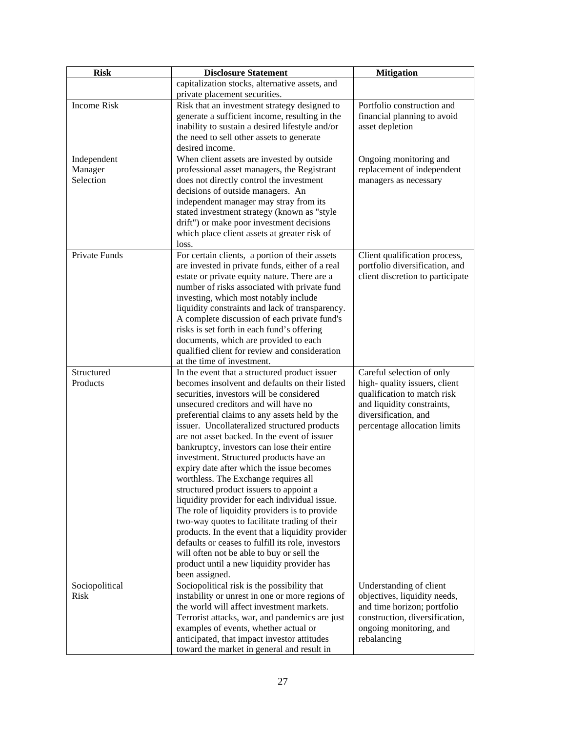| <b>Risk</b>        | <b>Disclosure Statement</b>                                                      | <b>Mitigation</b>                                  |
|--------------------|----------------------------------------------------------------------------------|----------------------------------------------------|
|                    | capitalization stocks, alternative assets, and                                   |                                                    |
|                    | private placement securities.                                                    |                                                    |
| <b>Income Risk</b> | Risk that an investment strategy designed to                                     | Portfolio construction and                         |
|                    | generate a sufficient income, resulting in the                                   | financial planning to avoid                        |
|                    | inability to sustain a desired lifestyle and/or                                  | asset depletion                                    |
|                    | the need to sell other assets to generate                                        |                                                    |
|                    | desired income.                                                                  |                                                    |
| Independent        | When client assets are invested by outside                                       | Ongoing monitoring and                             |
| Manager            | professional asset managers, the Registrant                                      | replacement of independent                         |
| Selection          | does not directly control the investment                                         | managers as necessary                              |
|                    | decisions of outside managers. An                                                |                                                    |
|                    | independent manager may stray from its                                           |                                                    |
|                    | stated investment strategy (known as "style                                      |                                                    |
|                    | drift") or make poor investment decisions                                        |                                                    |
|                    | which place client assets at greater risk of                                     |                                                    |
|                    | loss.                                                                            |                                                    |
| Private Funds      | For certain clients, a portion of their assets                                   | Client qualification process,                      |
|                    | are invested in private funds, either of a real                                  | portfolio diversification, and                     |
|                    | estate or private equity nature. There are a                                     | client discretion to participate                   |
|                    | number of risks associated with private fund                                     |                                                    |
|                    | investing, which most notably include                                            |                                                    |
|                    | liquidity constraints and lack of transparency.                                  |                                                    |
|                    | A complete discussion of each private fund's                                     |                                                    |
|                    | risks is set forth in each fund's offering                                       |                                                    |
|                    | documents, which are provided to each                                            |                                                    |
|                    | qualified client for review and consideration                                    |                                                    |
|                    | at the time of investment.                                                       |                                                    |
| Structured         | In the event that a structured product issuer                                    | Careful selection of only                          |
| Products           | becomes insolvent and defaults on their listed                                   | high-quality issuers, client                       |
|                    | securities, investors will be considered<br>unsecured creditors and will have no | qualification to match risk                        |
|                    | preferential claims to any assets held by the                                    | and liquidity constraints,<br>diversification, and |
|                    | issuer. Uncollateralized structured products                                     | percentage allocation limits                       |
|                    | are not asset backed. In the event of issuer                                     |                                                    |
|                    | bankruptcy, investors can lose their entire                                      |                                                    |
|                    | investment. Structured products have an                                          |                                                    |
|                    | expiry date after which the issue becomes                                        |                                                    |
|                    | worthless. The Exchange requires all                                             |                                                    |
|                    | structured product issuers to appoint a                                          |                                                    |
|                    | liquidity provider for each individual issue.                                    |                                                    |
|                    | The role of liquidity providers is to provide                                    |                                                    |
|                    | two-way quotes to facilitate trading of their                                    |                                                    |
|                    | products. In the event that a liquidity provider                                 |                                                    |
|                    | defaults or ceases to fulfill its role, investors                                |                                                    |
|                    | will often not be able to buy or sell the                                        |                                                    |
|                    | product until a new liquidity provider has                                       |                                                    |
|                    | been assigned.                                                                   |                                                    |
| Sociopolitical     | Sociopolitical risk is the possibility that                                      | Understanding of client                            |
| Risk               | instability or unrest in one or more regions of                                  | objectives, liquidity needs,                       |
|                    | the world will affect investment markets.                                        | and time horizon; portfolio                        |
|                    | Terrorist attacks, war, and pandemics are just                                   | construction, diversification,                     |
|                    | examples of events, whether actual or                                            | ongoing monitoring, and                            |
|                    | anticipated, that impact investor attitudes                                      | rebalancing                                        |
|                    | toward the market in general and result in                                       |                                                    |